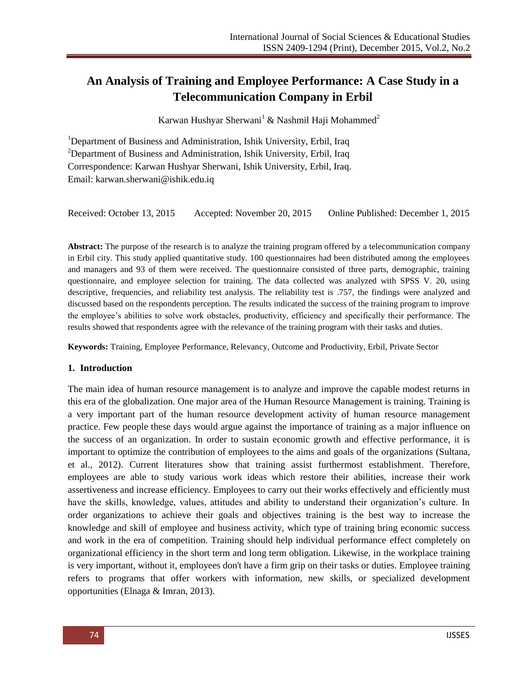# **An Analysis of Training and Employee Performance: A Case Study in a Telecommunication Company in Erbil**

Karwan Hushyar Sherwani<sup>1</sup> & Nashmil Haji Mohammed<sup>2</sup>

<sup>1</sup>Department of Business and Administration, Ishik University, Erbil, Iraq  $2$ Department of Business and Administration, Ishik University, Erbil, Iraq Correspondence: Karwan Hushyar Sherwani, Ishik University, Erbil, Iraq. Email: [karwan.sherwani@ishik.edu.iq](mailto:karwan.sherwani@ishik.edu.iq)

Received: October 13, 2015 Accepted: November 20, 2015 Online Published: December 1, 2015

**Abstract:** The purpose of the research is to analyze the training program offered by a telecommunication company in Erbil city. This study applied quantitative study. 100 questionnaires had been distributed among the employees and managers and 93 of them were received. The questionnaire consisted of three parts, demographic, training questionnaire, and employee selection for training. The data collected was analyzed with SPSS V. 20, using descriptive, frequencies, and reliability test analysis. The reliability test is .757, the findings were analyzed and discussed based on the respondents perception. The results indicated the success of the training program to improve the employee's abilities to solve work obstacles, productivity, efficiency and specifically their performance. The results showed that respondents agree with the relevance of the training program with their tasks and duties.

**Keywords:** Training, Employee Performance, Relevancy, Outcome and Productivity, Erbil, Private Sector

### **1. Introduction**

The main idea of human resource management is to analyze and improve the capable modest returns in this era of the globalization. One major area of the Human Resource Management is training. Training is a very important part of the human resource development activity of human resource management practice. Few people these days would argue against the importance of training as a major influence on the success of an organization. In order to sustain economic growth and effective performance, it is important to optimize the contribution of employees to the aims and goals of the organizations (Sultana, et al., 2012). Current literatures show that training assist furthermost establishment. Therefore, employees are able to study various work ideas which restore their abilities, increase their work assertiveness and increase efficiency. Employees to carry out their works effectively and efficiently must have the skills, knowledge, values, attitudes and ability to understand their organization's culture. In order organizations to achieve their goals and objectives training is the best way to increase the knowledge and skill of employee and business activity, which type of training bring economic success and work in the era of competition. Training should help individual performance effect completely on organizational efficiency in the short term and long term obligation. Likewise, in the workplace training is very important, without it, employees don't have a firm grip on their tasks or duties. Employee training refers to programs that offer workers with information, new skills, or specialized development opportunities (Elnaga & Imran, 2013).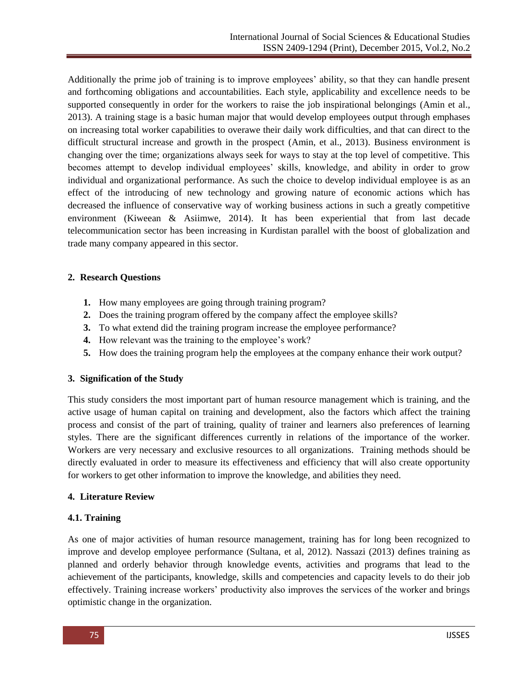Additionally the prime job of training is to improve employees' ability, so that they can handle present and forthcoming obligations and accountabilities. Each style, applicability and excellence needs to be supported consequently in order for the workers to raise the job inspirational belongings (Amin et al., 2013). A training stage is a basic human major that would develop employees output through emphases on increasing total worker capabilities to overawe their daily work difficulties, and that can direct to the difficult structural increase and growth in the prospect (Amin, et al., 2013). Business environment is changing over the time; organizations always seek for ways to stay at the top level of competitive. This becomes attempt to develop individual employees' skills, knowledge, and ability in order to grow individual and organizational performance. As such the choice to develop individual employee is as an effect of the introducing of new technology and growing nature of economic actions which has decreased the influence of conservative way of working business actions in such a greatly competitive environment (Kiweean & Asiimwe, 2014). It has been experiential that from last decade telecommunication sector has been increasing in Kurdistan parallel with the boost of globalization and trade many company appeared in this sector.

# **2. Research Questions**

- **1.** How many employees are going through training program?
- **2.** Does the training program offered by the company affect the employee skills?
- **3.** To what extend did the training program increase the employee performance?
- **4.** How relevant was the training to the employee's work?
- **5.** How does the training program help the employees at the company enhance their work output?

# **3. Signification of the Study**

This study considers the most important part of human resource management which is training, and the active usage of human capital on training and development, also the factors which affect the training process and consist of the part of training, quality of trainer and learners also preferences of learning styles. There are the significant differences currently in relations of the importance of the worker. Workers are very necessary and exclusive resources to all organizations. Training methods should be directly evaluated in order to measure its effectiveness and efficiency that will also create opportunity for workers to get other information to improve the knowledge, and abilities they need.

# **4. Literature Review**

# **4.1. Training**

As one of major activities of human resource management, training has for long been recognized to improve and develop employee performance (Sultana, et al, 2012). Nassazi (2013) defines training as planned and orderly behavior through knowledge events, activities and programs that lead to the achievement of the participants, knowledge, skills and competencies and capacity levels to do their job effectively. Training increase workers' productivity also improves the services of the worker and brings optimistic change in the organization.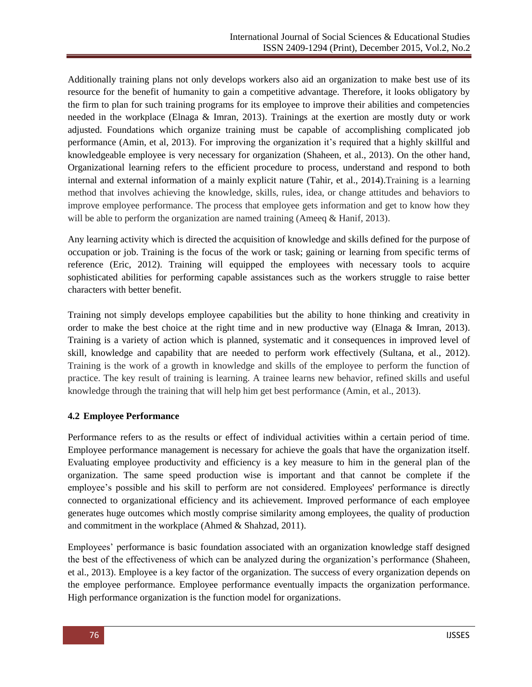Additionally training plans not only develops workers also aid an organization to make best use of its resource for the benefit of humanity to gain a competitive advantage. Therefore, it looks obligatory by the firm to plan for such training programs for its employee to improve their abilities and competencies needed in the workplace (Elnaga & Imran, 2013). Trainings at the exertion are mostly duty or work adjusted. Foundations which organize training must be capable of accomplishing complicated job performance (Amin, et al, 2013). For improving the organization it's required that a highly skillful and knowledgeable employee is very necessary for organization (Shaheen, et al., 2013). On the other hand, Organizational learning refers to the efficient procedure to process, understand and respond to both internal and external information of a mainly explicit nature (Tahir, et al., 2014).Training is a learning method that involves achieving the knowledge, skills, rules, idea, or change attitudes and behaviors to improve employee performance. The process that employee gets information and get to know how they will be able to perform the organization are named training (Ameeq & Hanif, 2013).

Any learning activity which is directed the acquisition of knowledge and skills defined for the purpose of occupation or job. Training is the focus of the work or task; gaining or learning from specific terms of reference (Eric, 2012). Training will equipped the employees with necessary tools to acquire sophisticated abilities for performing capable assistances such as the workers struggle to raise better characters with better benefit.

Training not simply develops employee capabilities but the ability to hone thinking and creativity in order to make the best choice at the right time and in new productive way (Elnaga & Imran, 2013). Training is a variety of action which is planned, systematic and it consequences in improved level of skill, knowledge and capability that are needed to perform work effectively (Sultana, et al., 2012). Training is the work of a growth in knowledge and skills of the employee to perform the function of practice. The key result of training is learning. A trainee learns new behavior, refined skills and useful knowledge through the training that will help him get best performance (Amin, et al., 2013).

# **4.2 Employee Performance**

Performance refers to as the results or effect of individual activities within a certain period of time. Employee performance management is necessary for achieve the goals that have the organization itself. Evaluating employee productivity and efficiency is a key measure to him in the general plan of the organization. The same speed production wise is important and that cannot be complete if the employee's possible and his skill to perform are not considered. Employees' performance is directly connected to organizational efficiency and its achievement. Improved performance of each employee generates huge outcomes which mostly comprise similarity among employees, the quality of production and commitment in the workplace (Ahmed & Shahzad, 2011).

Employees' performance is basic foundation associated with an organization knowledge staff designed the best of the effectiveness of which can be analyzed during the organization's performance (Shaheen, et al., 2013). Employee is a key factor of the organization. The success of every organization depends on the employee performance. Employee performance eventually impacts the organization performance. High performance organization is the function model for organizations.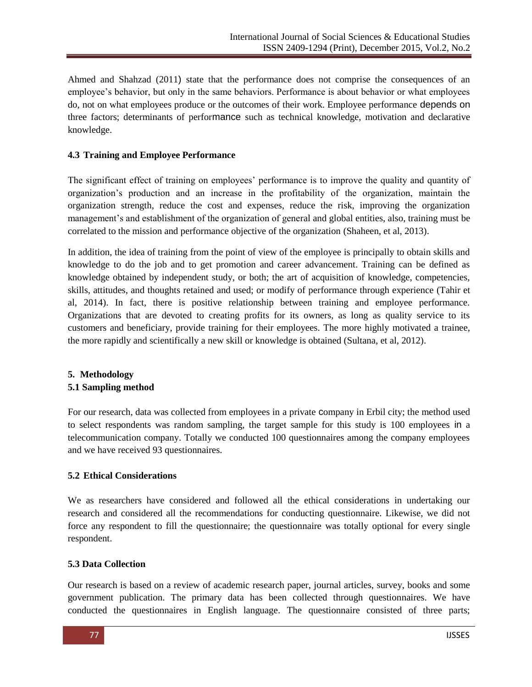Ahmed and Shahzad (2011) state that the performance does not comprise the consequences of an employee's behavior, but only in the same behaviors. Performance is about behavior or what employees do, not on what employees produce or the outcomes of their work. Employee performance depends on three factors; determinants of performance such as technical knowledge, motivation and declarative knowledge.

# **4.3 Training and Employee Performance**

The significant effect of training on employees' performance is to improve the quality and quantity of organization's production and an increase in the profitability of the organization, maintain the organization strength, reduce the cost and expenses, reduce the risk, improving the organization management's and establishment of the organization of general and global entities, also, training must be correlated to the mission and performance objective of the organization (Shaheen, et al, 2013).

In addition, the idea of training from the point of view of the employee is principally to obtain skills and knowledge to do the job and to get promotion and career advancement. Training can be defined as knowledge obtained by independent study, or both; the art of acquisition of knowledge, competencies, skills, attitudes, and thoughts retained and used; or modify of performance through experience (Tahir et al, 2014). In fact, there is positive relationship between training and employee performance. Organizations that are devoted to creating profits for its owners, as long as quality service to its customers and beneficiary, provide training for their employees. The more highly motivated a trainee, the more rapidly and scientifically a new skill or knowledge is obtained (Sultana, et al, 2012).

# **5. Methodology 5.1 Sampling method**

For our research, data was collected from employees in a private company in Erbil city; the method used to select respondents was random sampling, the target sample for this study is 100 employees in a telecommunication company. Totally we conducted 100 questionnaires among the company employees and we have received 93 questionnaires.

# **5.2 Ethical Considerations**

We as researchers have considered and followed all the ethical considerations in undertaking our research and considered all the recommendations for conducting questionnaire. Likewise, we did not force any respondent to fill the questionnaire; the questionnaire was totally optional for every single respondent.

# **5.3 Data Collection**

Our research is based on a review of academic research paper, journal articles, survey, books and some government publication. The primary data has been collected through questionnaires. We have conducted the questionnaires in English language. The questionnaire consisted of three parts;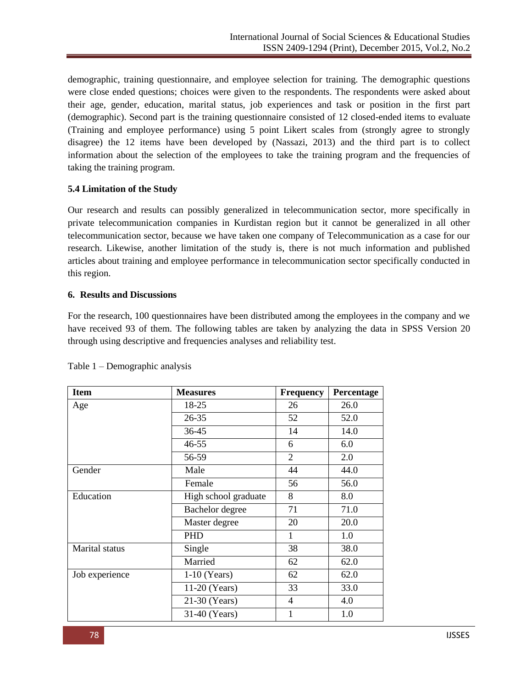demographic, training questionnaire, and employee selection for training. The demographic questions were close ended questions; choices were given to the respondents. The respondents were asked about their age, gender, education, marital status, job experiences and task or position in the first part (demographic). Second part is the training questionnaire consisted of 12 closed-ended items to evaluate (Training and employee performance) using 5 point Likert scales from (strongly agree to strongly disagree) the 12 items have been developed by (Nassazi, 2013) and the third part is to collect information about the selection of the employees to take the training program and the frequencies of taking the training program.

# **5.4 Limitation of the Study**

Our research and results can possibly generalized in telecommunication sector, more specifically in private telecommunication companies in Kurdistan region but it cannot be generalized in all other telecommunication sector, because we have taken one company of Telecommunication as a case for our research. Likewise, another limitation of the study is, there is not much information and published articles about training and employee performance in telecommunication sector specifically conducted in this region.

# **6. Results and Discussions**

For the research, 100 questionnaires have been distributed among the employees in the company and we have received 93 of them. The following tables are taken by analyzing the data in SPSS Version 20 through using descriptive and frequencies analyses and reliability test.

| <b>Item</b>    | <b>Measures</b>      | <b>Frequency</b> | Percentage |
|----------------|----------------------|------------------|------------|
| Age            | 18-25                | 26               | 26.0       |
|                | 26-35                | 52               | 52.0       |
|                | 36-45                | 14               | 14.0       |
|                | 46-55                | 6                | 6.0        |
|                | 56-59                | $\overline{2}$   | 2.0        |
| Gender         | Male                 | 44               | 44.0       |
|                | Female               | 56               | 56.0       |
| Education      | High school graduate | 8                | 8.0        |
|                | Bachelor degree      | 71               | 71.0       |
|                | Master degree        | 20               | 20.0       |
|                | PHD                  | 1                | 1.0        |
| Marital status | Single               | 38               | 38.0       |
|                | Married              | 62               | 62.0       |
| Job experience | $1-10$ (Years)       | 62               | 62.0       |
|                | 11-20 (Years)        | 33               | 33.0       |
|                | 21-30 (Years)        | $\overline{4}$   | 4.0        |
|                | 31-40 (Years)        | 1                | 1.0        |

Table 1 – Demographic analysis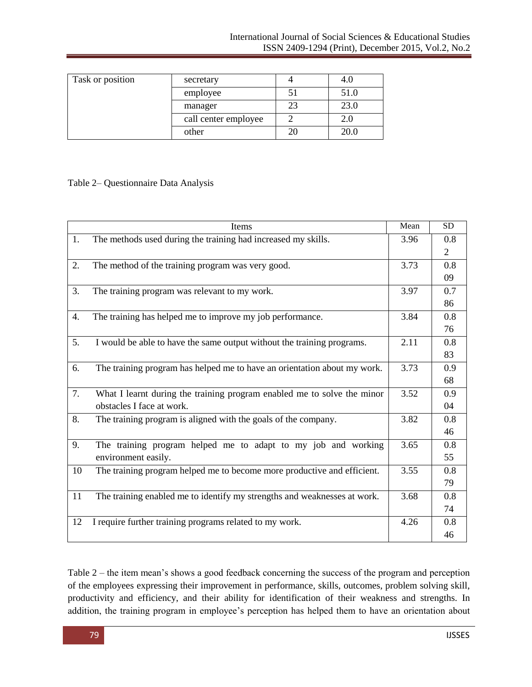| Task or position | secretary            | 4.0         |
|------------------|----------------------|-------------|
|                  | employee             | 51.0        |
|                  | manager              | 23.0        |
|                  | call center employee | 2.0         |
|                  | other                | <b>20.0</b> |

# Table 2– Questionnaire Data Analysis

|    | Items                                                                    | Mean | <b>SD</b>      |
|----|--------------------------------------------------------------------------|------|----------------|
| 1. | The methods used during the training had increased my skills.            | 3.96 | 0.8            |
|    |                                                                          |      | $\overline{2}$ |
| 2. | The method of the training program was very good.                        | 3.73 | 0.8            |
|    |                                                                          |      | 09             |
| 3. | The training program was relevant to my work.                            | 3.97 | 0.7            |
|    |                                                                          |      | 86             |
| 4. | The training has helped me to improve my job performance.                | 3.84 | 0.8            |
|    |                                                                          |      | 76             |
| 5. | I would be able to have the same output without the training programs.   | 2.11 | 0.8            |
|    |                                                                          |      | 83             |
| 6. | The training program has helped me to have an orientation about my work. | 3.73 | 0.9            |
|    |                                                                          |      | 68             |
| 7. | What I learnt during the training program enabled me to solve the minor  | 3.52 | 0.9            |
|    | obstacles I face at work.                                                |      | 04             |
| 8. | The training program is aligned with the goals of the company.           | 3.82 | 0.8            |
|    |                                                                          |      | 46             |
| 9. | The training program helped me to adapt to my job and working            | 3.65 | 0.8            |
|    | environment easily.                                                      |      | 55             |
| 10 | The training program helped me to become more productive and efficient.  | 3.55 | 0.8            |
|    |                                                                          |      | 79             |
| 11 | The training enabled me to identify my strengths and weaknesses at work. | 3.68 | 0.8            |
|    |                                                                          |      | 74             |
| 12 | I require further training programs related to my work.                  | 4.26 | 0.8            |
|    |                                                                          |      | 46             |

Table 2 – the item mean's shows a good feedback concerning the success of the program and perception of the employees expressing their improvement in performance, skills, outcomes, problem solving skill, productivity and efficiency, and their ability for identification of their weakness and strengths. In addition, the training program in employee's perception has helped them to have an orientation about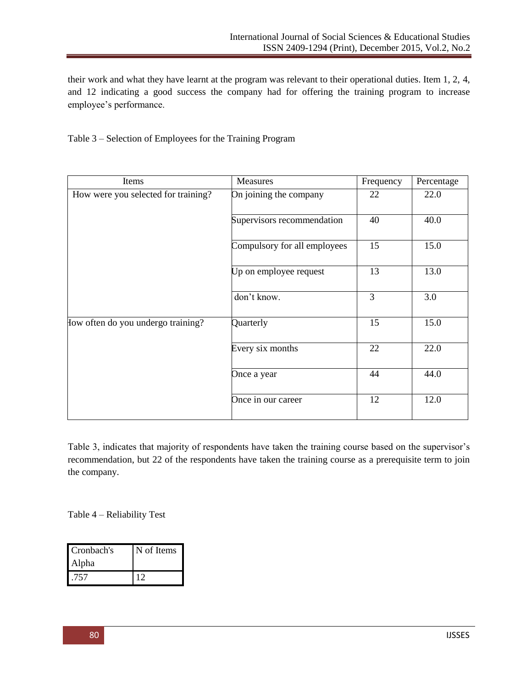their work and what they have learnt at the program was relevant to their operational duties. Item 1, 2, 4, and 12 indicating a good success the company had for offering the training program to increase employee's performance.

Table 3 – Selection of Employees for the Training Program

| Items                               | Measures                     | Frequency | Percentage |
|-------------------------------------|------------------------------|-----------|------------|
| How were you selected for training? | On joining the company       | 22        | 22.0       |
|                                     | Supervisors recommendation   | 40        | 40.0       |
|                                     | Compulsory for all employees | 15        | 15.0       |
|                                     | Up on employee request       | 13        | 13.0       |
|                                     | don't know.                  | 3         | 3.0        |
| How often do you undergo training?  | Quarterly                    | 15        | 15.0       |
|                                     | Every six months             | 22        | 22.0       |
|                                     | Once a year                  | 44        | 44.0       |
|                                     | Once in our career           | 12        | 12.0       |

Table 3, indicates that majority of respondents have taken the training course based on the supervisor's recommendation, but 22 of the respondents have taken the training course as a prerequisite term to join the company.

Table 4 – Reliability Test

| Cronbach's<br><b>Alpha</b> | N of Items |  |
|----------------------------|------------|--|
| .757                       |            |  |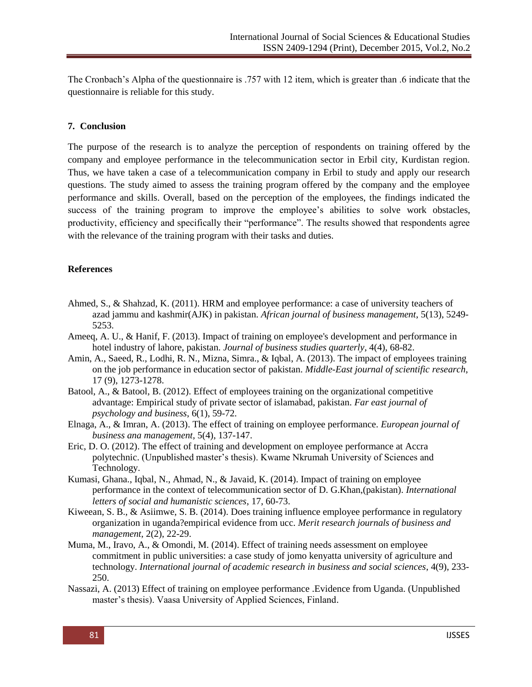The Cronbach's Alpha of the questionnaire is .757 with 12 item, which is greater than .6 indicate that the questionnaire is reliable for this study.

# **7. Conclusion**

The purpose of the research is to analyze the perception of respondents on training offered by the company and employee performance in the telecommunication sector in Erbil city, Kurdistan region. Thus, we have taken a case of a telecommunication company in Erbil to study and apply our research questions. The study aimed to assess the training program offered by the company and the employee performance and skills. Overall, based on the perception of the employees, the findings indicated the success of the training program to improve the employee's abilities to solve work obstacles, productivity, efficiency and specifically their "performance". The results showed that respondents agree with the relevance of the training program with their tasks and duties.

### **References**

- Ahmed, S., & Shahzad, K. (2011). HRM and employee performance: a case of university teachers of azad jammu and kashmir(AJK) in pakistan. *African journal of business management*, 5(13), 5249- 5253.
- Ameeq, A. U., & Hanif, F. (2013). Impact of training on employee's development and performance in hotel industry of lahore, pakistan. *Journal of business studies quarterly*, 4(4), 68-82.
- Amin, A., Saeed, R., Lodhi, R. N., Mizna, Simra., & Iqbal, A. (2013). The impact of employees training on the job performance in education sector of pakistan. *Middle-East journal of scientific research*, 17 (9), 1273-1278.
- Batool, A., & Batool, B. (2012). Effect of employees training on the organizational competitive advantage: Empirical study of private sector of islamabad, pakistan. *Far east journal of psychology and business*, 6(1), 59-72.
- Elnaga, A., & Imran, A. (2013). The effect of training on employee performance. *European journal of business ana management*, 5(4), 137-147.
- Eric, D. O. (2012). The effect of training and development on employee performance at Accra polytechnic. (Unpublished master's thesis). Kwame Nkrumah University of Sciences and Technology.
- Kumasi, Ghana., Iqbal, N., Ahmad, N., & Javaid, K. (2014). Impact of training on employee performance in the context of telecommunication sector of D. G.Khan,(pakistan). *International letters of social and humanistic sciences*, 17, 60-73.
- Kiweean, S. B., & Asiimwe, S. B. (2014). Does training influence employee performance in regulatory organization in uganda?empirical evidence from ucc. *Merit research journals of business and management*, 2(2), 22-29.
- Muma, M., Iravo, A., & Omondi, M. (2014). Effect of training needs assessment on employee commitment in public universities: a case study of jomo kenyatta university of agriculture and technology. *International journal of academic research in business and social sciences*, 4(9), 233- 250.
- Nassazi, A. (2013) Effect of training on employee performance .Evidence from Uganda. (Unpublished master's thesis). Vaasa University of Applied Sciences, Finland.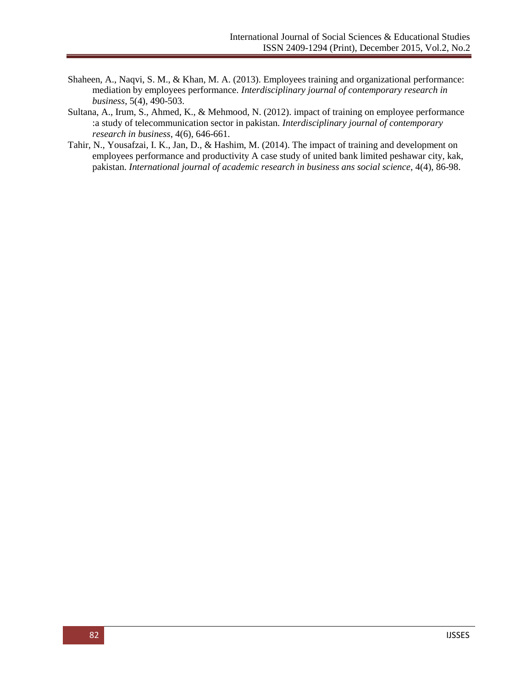- Shaheen, A., Naqvi, S. M., & Khan, M. A. (2013). Employees training and organizational performance: mediation by employees performance. *Interdisciplinary journal of contemporary research in business*, 5(4), 490-503.
- Sultana, A., Irum, S., Ahmed, K., & Mehmood, N. (2012). impact of training on employee performance :a study of telecommunication sector in pakistan. *Interdisciplinary journal of contemporary research in business*, 4(6), 646-661.
- Tahir, N., Yousafzai, I. K., Jan, D., & Hashim, M. (2014). The impact of training and development on employees performance and productivity A case study of united bank limited peshawar city, kak, pakistan. *International journal of academic research in business ans social science*, 4(4), 86-98.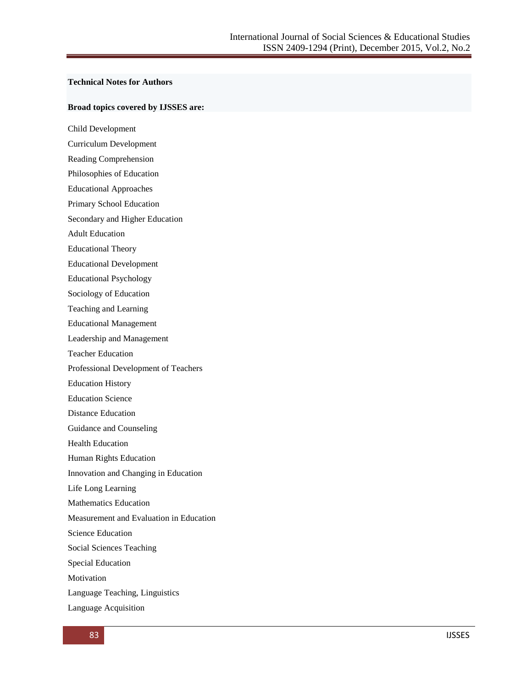#### **Technical Notes for Authors**

#### **Broad topics covered by IJSSES are:**

Child Development

Curriculum Development

Reading Comprehension

Philosophies of Education

Educational Approaches

Primary School Education

Secondary and Higher Education

Adult Education

Educational Theory

Educational Development

Educational Psychology

Sociology of Education

Teaching and Learning

Educational Management

Leadership and Management

Teacher Education

Professional Development of Teachers

Education History

Education Science

Distance Education

Guidance and Counseling

Health Education

Human Rights Education

Innovation and Changing in Education

Life Long Learning

Mathematics Education

Measurement and Evaluation in Education

Science Education

Social Sciences Teaching

Special Education

Motivation

Language Teaching, Linguistics

Language Acquisition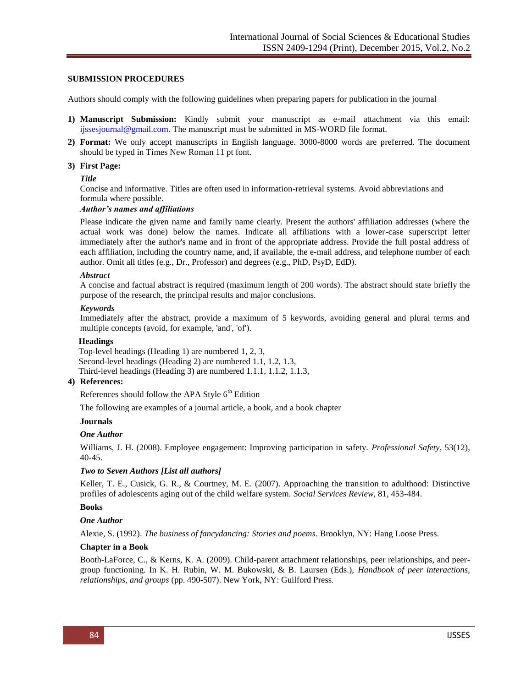### **SUBMISSION PROCEDURES**

Authors should comply with the following guidelines when preparing papers for publication in the journal

- **1) Manuscript Submission:** Kindly submit your manuscript as e-mail attachment via this email: [ijssesjournal@gmail.com.](mailto:ijssesjournal@gmail.com) The manuscript must be submitted in MS-WORD file format.
- **2) Format:** We only accept manuscripts in English language. 3000-8000 words are preferred. The document should be typed in Times New Roman 11 pt font.

#### **3) First Page:**

#### *Title*

Concise and informative. Titles are often used in information-retrieval systems. Avoid abbreviations and formula where possible.

#### *Author's names and affiliations*

Please indicate the given name and family name clearly. Present the authors' affiliation addresses (where the actual work was done) below the names. Indicate all affiliations with a lower-case superscript letter immediately after the author's name and in front of the appropriate address. Provide the full postal address of each affiliation, including the country name, and, if available, the e-mail address, and telephone number of each author. Omit all titles (e.g., Dr., Professor) and degrees (e.g., PhD, PsyD, EdD).

#### *Abstract*

A concise and factual abstract is required (maximum length of 200 words). The abstract should state briefly the purpose of the research, the principal results and major conclusions.

#### *Keywords*

Immediately after the abstract, provide a maximum of 5 keywords, avoiding general and plural terms and multiple concepts (avoid, for example, 'and', 'of').

#### **Headings**

 Top-level headings (Heading 1) are numbered 1, 2, 3, Second-level headings (Heading 2) are numbered 1.1, 1.2, 1.3, Third-level headings (Heading 3) are numbered 1.1.1, 1.1.2, 1.1.3,

#### **4) References:**

References should follow the APA Style  $6<sup>th</sup>$  Edition

The following are examples of a journal article, a book, and a book chapter

#### **Journals**

### *One Author*

Williams, J. H. (2008). Employee engagement: Improving participation in safety. *Professional Safety*, 53(12), 40-45.

### *Two to Seven Authors [List all authors]*

Keller, T. E., Cusick, G. R., & Courtney, M. E. (2007). Approaching the transition to adulthood: Distinctive profiles of adolescents aging out of the child welfare system. *Social Services Review*, 81, 453-484.

### **Books**

### *One Author*

Alexie, S. (1992). *The business of fancydancing: Stories and poems*. Brooklyn, NY: Hang Loose Press.

### **Chapter in a Book**

Booth-LaForce, C., & Kerns, K. A. (2009). Child-parent attachment relationships, peer relationships, and peergroup functioning. In K. H. Rubin, W. M. Bukowski, & B. Laursen (Eds.), *Handbook of peer interactions, relationships, and groups* (pp. 490-507). New York, NY: Guilford Press.